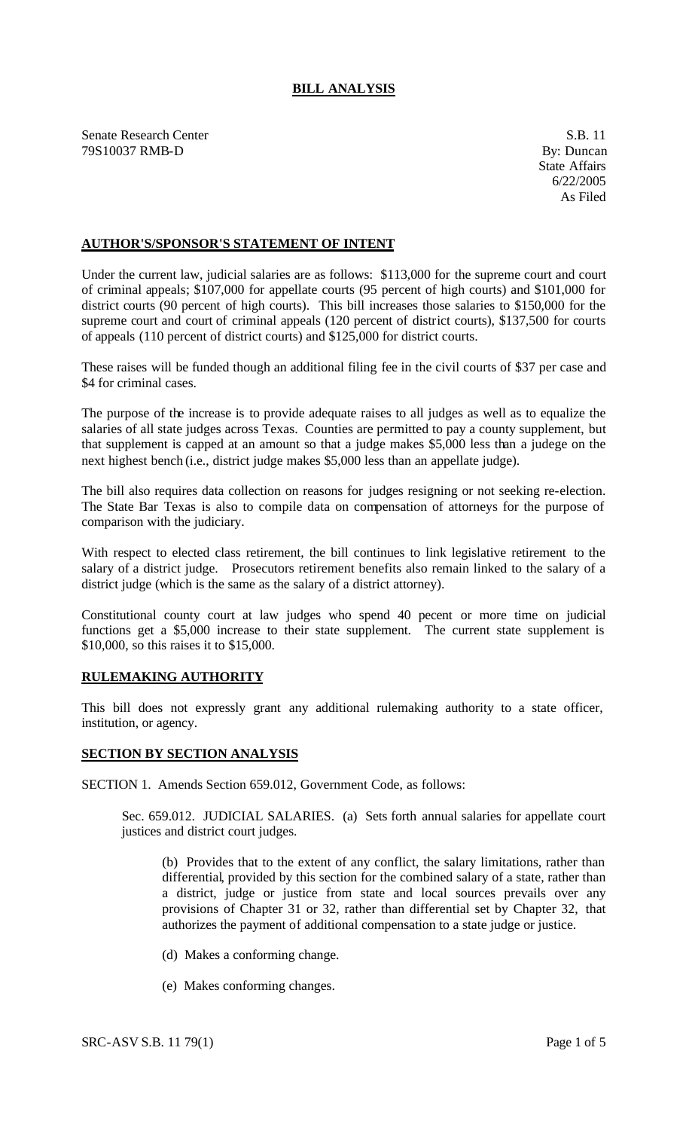# **BILL ANALYSIS**

Senate Research Center S.B. 11 79S10037 RMB-D By: Duncan

## **AUTHOR'S/SPONSOR'S STATEMENT OF INTENT**

Under the current law, judicial salaries are as follows: \$113,000 for the supreme court and court of criminal appeals; \$107,000 for appellate courts (95 percent of high courts) and \$101,000 for district courts (90 percent of high courts). This bill increases those salaries to \$150,000 for the supreme court and court of criminal appeals (120 percent of district courts), \$137,500 for courts of appeals (110 percent of district courts) and \$125,000 for district courts.

These raises will be funded though an additional filing fee in the civil courts of \$37 per case and \$4 for criminal cases.

The purpose of the increase is to provide adequate raises to all judges as well as to equalize the salaries of all state judges across Texas. Counties are permitted to pay a county supplement, but that supplement is capped at an amount so that a judge makes \$5,000 less than a judege on the next highest bench (i.e., district judge makes \$5,000 less than an appellate judge).

The bill also requires data collection on reasons for judges resigning or not seeking re-election. The State Bar Texas is also to compile data on compensation of attorneys for the purpose of comparison with the judiciary.

With respect to elected class retirement, the bill continues to link legislative retirement to the salary of a district judge. Prosecutors retirement benefits also remain linked to the salary of a district judge (which is the same as the salary of a district attorney).

Constitutional county court at law judges who spend 40 pecent or more time on judicial functions get a \$5,000 increase to their state supplement. The current state supplement is \$10,000, so this raises it to \$15,000.

### **RULEMAKING AUTHORITY**

This bill does not expressly grant any additional rulemaking authority to a state officer, institution, or agency.

#### **SECTION BY SECTION ANALYSIS**

SECTION 1. Amends Section 659.012, Government Code, as follows:

Sec. 659.012. JUDICIAL SALARIES. (a) Sets forth annual salaries for appellate court justices and district court judges.

(b) Provides that to the extent of any conflict, the salary limitations, rather than differential, provided by this section for the combined salary of a state, rather than a district, judge or justice from state and local sources prevails over any provisions of Chapter 31 or 32, rather than differential set by Chapter 32, that authorizes the payment of additional compensation to a state judge or justice.

- (d) Makes a conforming change.
- (e) Makes conforming changes.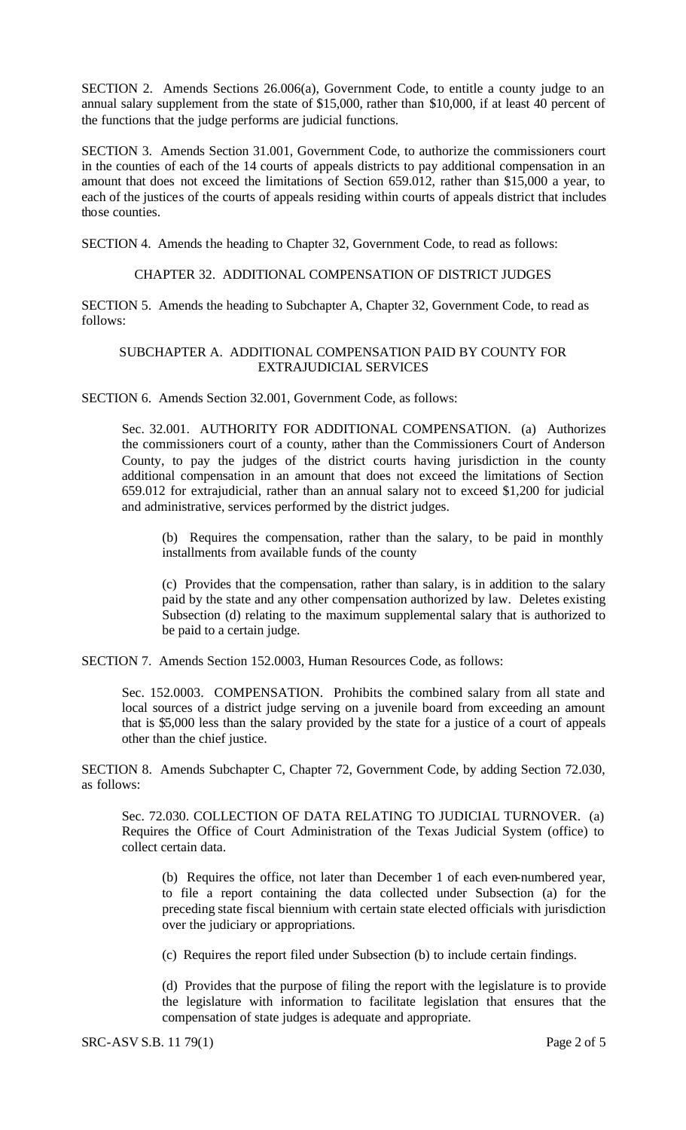SECTION 2. Amends Sections 26.006(a), Government Code, to entitle a county judge to an annual salary supplement from the state of \$15,000, rather than \$10,000, if at least 40 percent of the functions that the judge performs are judicial functions.

SECTION 3. Amends Section 31.001, Government Code, to authorize the commissioners court in the counties of each of the 14 courts of appeals districts to pay additional compensation in an amount that does not exceed the limitations of Section 659.012, rather than \$15,000 a year, to each of the justices of the courts of appeals residing within courts of appeals district that includes those counties.

SECTION 4. Amends the heading to Chapter 32, Government Code, to read as follows:

## CHAPTER 32. ADDITIONAL COMPENSATION OF DISTRICT JUDGES

SECTION 5. Amends the heading to Subchapter A, Chapter 32, Government Code, to read as follows:

## SUBCHAPTER A. ADDITIONAL COMPENSATION PAID BY COUNTY FOR EXTRAJUDICIAL SERVICES

SECTION 6. Amends Section 32.001, Government Code, as follows:

Sec. 32.001. AUTHORITY FOR ADDITIONAL COMPENSATION. (a) Authorizes the commissioners court of a county, rather than the Commissioners Court of Anderson County, to pay the judges of the district courts having jurisdiction in the county additional compensation in an amount that does not exceed the limitations of Section 659.012 for extrajudicial, rather than an annual salary not to exceed \$1,200 for judicial and administrative, services performed by the district judges.

(b) Requires the compensation, rather than the salary, to be paid in monthly installments from available funds of the county

(c) Provides that the compensation, rather than salary, is in addition to the salary paid by the state and any other compensation authorized by law. Deletes existing Subsection (d) relating to the maximum supplemental salary that is authorized to be paid to a certain judge.

SECTION 7. Amends Section 152.0003, Human Resources Code, as follows:

Sec. 152.0003. COMPENSATION. Prohibits the combined salary from all state and local sources of a district judge serving on a juvenile board from exceeding an amount that is \$5,000 less than the salary provided by the state for a justice of a court of appeals other than the chief justice.

SECTION 8. Amends Subchapter C, Chapter 72, Government Code, by adding Section 72.030, as follows:

Sec. 72.030. COLLECTION OF DATA RELATING TO JUDICIAL TURNOVER. (a) Requires the Office of Court Administration of the Texas Judicial System (office) to collect certain data.

(b) Requires the office, not later than December 1 of each even-numbered year, to file a report containing the data collected under Subsection (a) for the preceding state fiscal biennium with certain state elected officials with jurisdiction over the judiciary or appropriations.

(c) Requires the report filed under Subsection (b) to include certain findings.

(d) Provides that the purpose of filing the report with the legislature is to provide the legislature with information to facilitate legislation that ensures that the compensation of state judges is adequate and appropriate.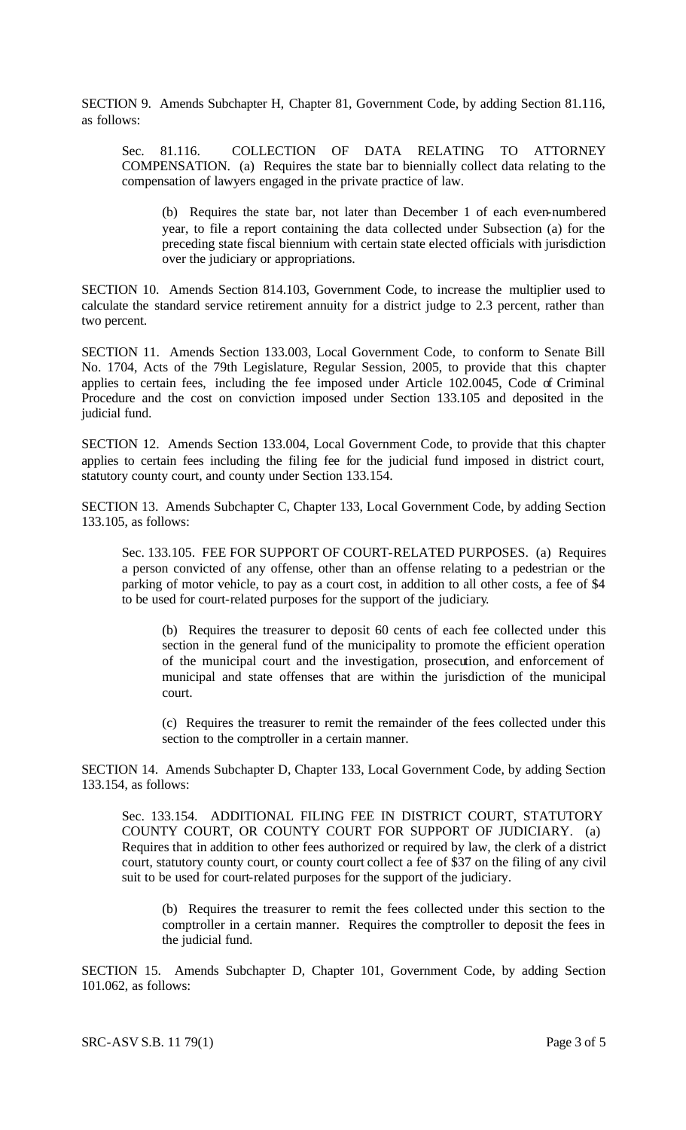SECTION 9. Amends Subchapter H, Chapter 81, Government Code, by adding Section 81.116, as follows:

Sec. 81.116. COLLECTION OF DATA RELATING TO ATTORNEY COMPENSATION. (a) Requires the state bar to biennially collect data relating to the compensation of lawyers engaged in the private practice of law.

(b) Requires the state bar, not later than December 1 of each even-numbered year, to file a report containing the data collected under Subsection (a) for the preceding state fiscal biennium with certain state elected officials with jurisdiction over the judiciary or appropriations.

SECTION 10. Amends Section 814.103, Government Code, to increase the multiplier used to calculate the standard service retirement annuity for a district judge to 2.3 percent, rather than two percent.

SECTION 11. Amends Section 133.003, Local Government Code, to conform to Senate Bill No. 1704, Acts of the 79th Legislature, Regular Session, 2005, to provide that this chapter applies to certain fees, including the fee imposed under Article 102.0045, Code of Criminal Procedure and the cost on conviction imposed under Section 133.105 and deposited in the judicial fund.

SECTION 12. Amends Section 133.004, Local Government Code, to provide that this chapter applies to certain fees including the filing fee for the judicial fund imposed in district court, statutory county court, and county under Section 133.154.

SECTION 13. Amends Subchapter C, Chapter 133, Local Government Code, by adding Section 133.105, as follows:

Sec. 133.105. FEE FOR SUPPORT OF COURT-RELATED PURPOSES. (a) Requires a person convicted of any offense, other than an offense relating to a pedestrian or the parking of motor vehicle, to pay as a court cost, in addition to all other costs, a fee of \$4 to be used for court-related purposes for the support of the judiciary.

(b) Requires the treasurer to deposit 60 cents of each fee collected under this section in the general fund of the municipality to promote the efficient operation of the municipal court and the investigation, prosecution, and enforcement of municipal and state offenses that are within the jurisdiction of the municipal court.

(c) Requires the treasurer to remit the remainder of the fees collected under this section to the comptroller in a certain manner.

SECTION 14. Amends Subchapter D, Chapter 133, Local Government Code, by adding Section 133.154, as follows:

Sec. 133.154. ADDITIONAL FILING FEE IN DISTRICT COURT, STATUTORY COUNTY COURT, OR COUNTY COURT FOR SUPPORT OF JUDICIARY. (a) Requires that in addition to other fees authorized or required by law, the clerk of a district court, statutory county court, or county court collect a fee of \$37 on the filing of any civil suit to be used for court-related purposes for the support of the judiciary.

(b) Requires the treasurer to remit the fees collected under this section to the comptroller in a certain manner. Requires the comptroller to deposit the fees in the judicial fund.

SECTION 15. Amends Subchapter D, Chapter 101, Government Code, by adding Section 101.062, as follows:

SRC-ASV S.B. 11 79(1) Page 3 of 5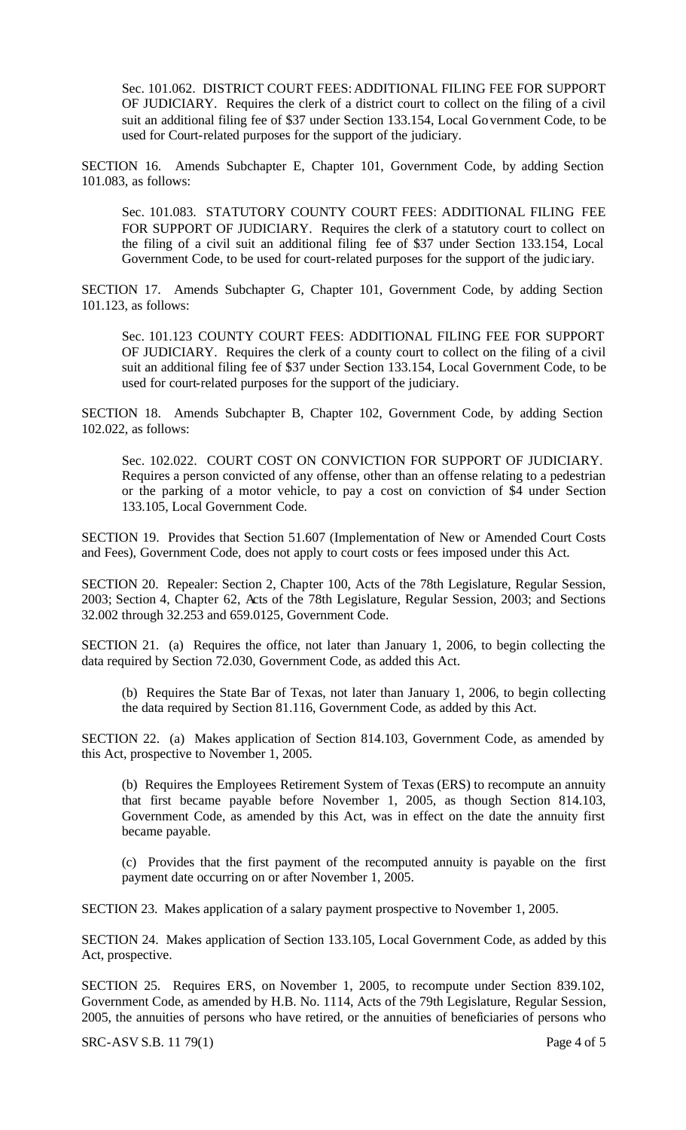Sec. 101.062. DISTRICT COURT FEES: ADDITIONAL FILING FEE FOR SUPPORT OF JUDICIARY. Requires the clerk of a district court to collect on the filing of a civil suit an additional filing fee of \$37 under Section 133.154, Local Government Code, to be used for Court-related purposes for the support of the judiciary.

SECTION 16. Amends Subchapter E, Chapter 101, Government Code, by adding Section 101.083, as follows:

Sec. 101.083. STATUTORY COUNTY COURT FEES: ADDITIONAL FILING FEE FOR SUPPORT OF JUDICIARY. Requires the clerk of a statutory court to collect on the filing of a civil suit an additional filing fee of \$37 under Section 133.154, Local Government Code, to be used for court-related purposes for the support of the judic iary.

SECTION 17. Amends Subchapter G, Chapter 101, Government Code, by adding Section 101.123, as follows:

Sec. 101.123 COUNTY COURT FEES: ADDITIONAL FILING FEE FOR SUPPORT OF JUDICIARY. Requires the clerk of a county court to collect on the filing of a civil suit an additional filing fee of \$37 under Section 133.154, Local Government Code, to be used for court-related purposes for the support of the judiciary.

SECTION 18. Amends Subchapter B, Chapter 102, Government Code, by adding Section 102.022, as follows:

Sec. 102.022. COURT COST ON CONVICTION FOR SUPPORT OF JUDICIARY. Requires a person convicted of any offense, other than an offense relating to a pedestrian or the parking of a motor vehicle, to pay a cost on conviction of \$4 under Section 133.105, Local Government Code.

SECTION 19. Provides that Section 51.607 (Implementation of New or Amended Court Costs and Fees), Government Code, does not apply to court costs or fees imposed under this Act.

SECTION 20. Repealer: Section 2, Chapter 100, Acts of the 78th Legislature, Regular Session, 2003; Section 4, Chapter 62, Acts of the 78th Legislature, Regular Session, 2003; and Sections 32.002 through 32.253 and 659.0125, Government Code.

SECTION 21. (a) Requires the office, not later than January 1, 2006, to begin collecting the data required by Section 72.030, Government Code, as added this Act.

(b) Requires the State Bar of Texas, not later than January 1, 2006, to begin collecting the data required by Section 81.116, Government Code, as added by this Act.

SECTION 22. (a) Makes application of Section 814.103, Government Code, as amended by this Act, prospective to November 1, 2005.

(b) Requires the Employees Retirement System of Texas (ERS) to recompute an annuity that first became payable before November 1, 2005, as though Section 814.103, Government Code, as amended by this Act, was in effect on the date the annuity first became payable.

(c) Provides that the first payment of the recomputed annuity is payable on the first payment date occurring on or after November 1, 2005.

SECTION 23. Makes application of a salary payment prospective to November 1, 2005.

SECTION 24. Makes application of Section 133.105, Local Government Code, as added by this Act, prospective.

SECTION 25. Requires ERS, on November 1, 2005, to recompute under Section 839.102, Government Code, as amended by H.B. No. 1114, Acts of the 79th Legislature, Regular Session, 2005, the annuities of persons who have retired, or the annuities of beneficiaries of persons who